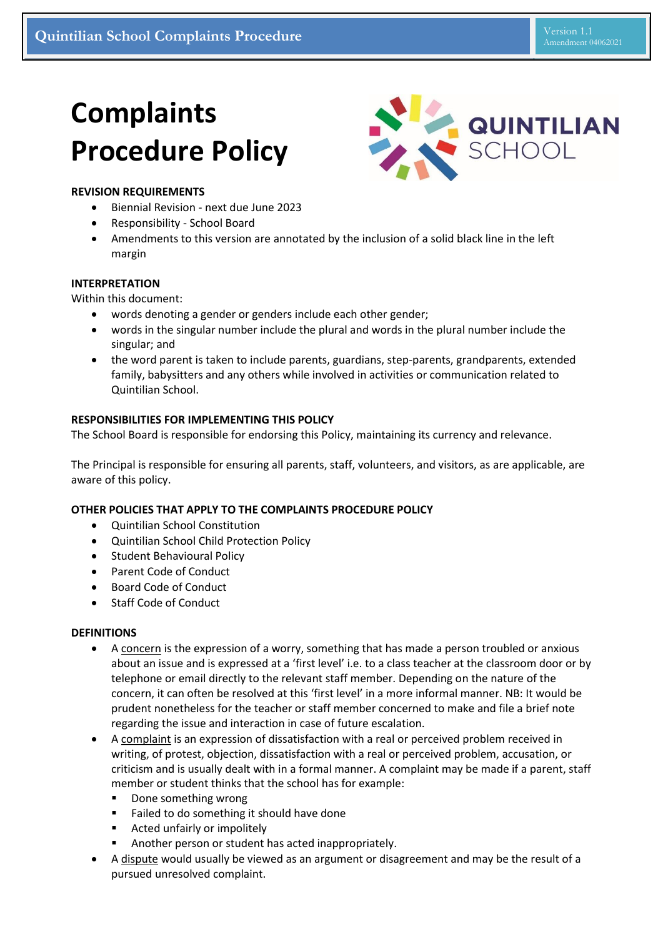# **Complaints Procedure Policy**



# **REVISION REQUIREMENTS**

- Biennial Revision next due June 2023
- Responsibility School Board
- Amendments to this version are annotated by the inclusion of a solid black line in the left margin

## **INTERPRETATION**

Within this document:

- words denoting a gender or genders include each other gender;
- words in the singular number include the plural and words in the plural number include the singular; and
- the word parent is taken to include parents, guardians, step-parents, grandparents, extended family, babysitters and any others while involved in activities or communication related to Quintilian School.

## **RESPONSIBILITIES FOR IMPLEMENTING THIS POLICY**

The School Board is responsible for endorsing this Policy, maintaining its currency and relevance.

The Principal is responsible for ensuring all parents, staff, volunteers, and visitors, as are applicable, are aware of this policy.

# **OTHER POLICIES THAT APPLY TO THE COMPLAINTS PROCEDURE POLICY**

- Quintilian School Constitution
- Quintilian School Child Protection Policy
- **•** Student Behavioural Policy
- Parent Code of Conduct
- Board Code of Conduct
- Staff Code of Conduct

## **DEFINITIONS**

- A concern is the expression of a worry, something that has made a person troubled or anxious about an issue and is expressed at a 'first level' i.e. to a class teacher at the classroom door or by telephone or email directly to the relevant staff member. Depending on the nature of the concern, it can often be resolved at this 'first level' in a more informal manner. NB: It would be prudent nonetheless for the teacher or staff member concerned to make and file a brief note regarding the issue and interaction in case of future escalation.
- A complaint is an expression of dissatisfaction with a real or perceived problem received in writing, of protest, objection, dissatisfaction with a real or perceived problem, accusation, or criticism and is usually dealt with in a formal manner. A complaint may be made if a parent, staff member or student thinks that the school has for example:
	- Done something wrong
	- Failed to do something it should have done
	- Acted unfairly or impolitely
	- Another person or student has acted inappropriately.
- A dispute would usually be viewed as an argument or disagreement and may be the result of a pursued unresolved complaint.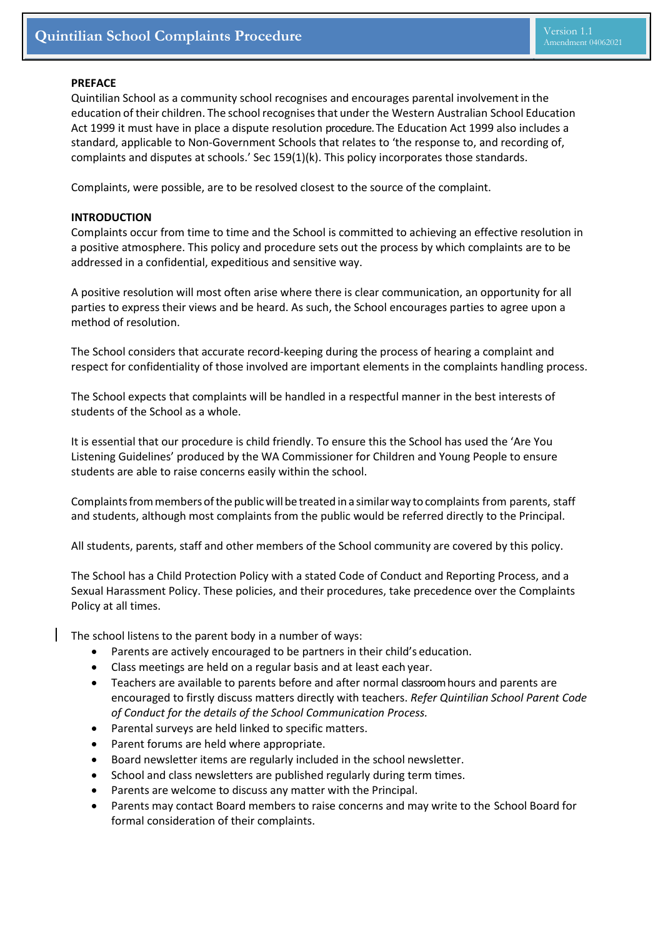## **PREFACE**

Quintilian School as a community school recognises and encourages parental involvementin the education of their children. The school recognises that under the Western Australian School Education Act 1999 it must have in place a dispute resolution procedure. The Education Act 1999 also includes a standard, applicable to Non-Government Schools that relates to 'the response to, and recording of, complaints and disputes at schools.' Sec 159(1)(k). This policy incorporates those standards.

Complaints, were possible, are to be resolved closest to the source of the complaint.

## **INTRODUCTION**

Complaints occur from time to time and the School is committed to achieving an effective resolution in a positive atmosphere. This policy and procedure sets out the process by which complaints are to be addressed in a confidential, expeditious and sensitive way.

A positive resolution will most often arise where there is clear communication, an opportunity for all parties to express their views and be heard. As such, the School encourages parties to agree upon a method of resolution.

The School considers that accurate record-keeping during the process of hearing a complaint and respect for confidentiality of those involved are important elements in the complaints handling process.

The School expects that complaints will be handled in a respectful manner in the best interests of students of the School as a whole.

It is essential that our procedure is child friendly. To ensure this the School has used the 'Are You Listening Guidelines' produced by the WA Commissioner for Children and Young People to ensure students are able to raise concerns easily within the school.

Complaints from members of the public will be treated in a similar way to complaints from parents, staff and students, although most complaints from the public would be referred directly to the Principal.

All students, parents, staff and other members of the School community are covered by this policy.

The School has a Child Protection Policy with a stated Code of Conduct and Reporting Process, and a Sexual Harassment Policy. These policies, and their procedures, take precedence over the Complaints Policy at all times.

The school listens to the parent body in a number of ways:

- Parents are actively encouraged to be partners in their child's education.
- Class meetings are held on a regular basis and at least each year.
- Teachers are available to parents before and after normal classroom hours and parents are encouraged to firstly discuss matters directly with teachers. *Refer Quintilian School Parent Code of Conduct for the details of the School Communication Process.*
- Parental surveys are held linked to specific matters.
- Parent forums are held where appropriate.
- Board newsletter items are regularly included in the school newsletter.
- School and class newsletters are published regularly during term times.
- Parents are welcome to discuss any matter with the Principal.
- Parents may contact Board members to raise concerns and may write to the School Board for formal consideration of their complaints.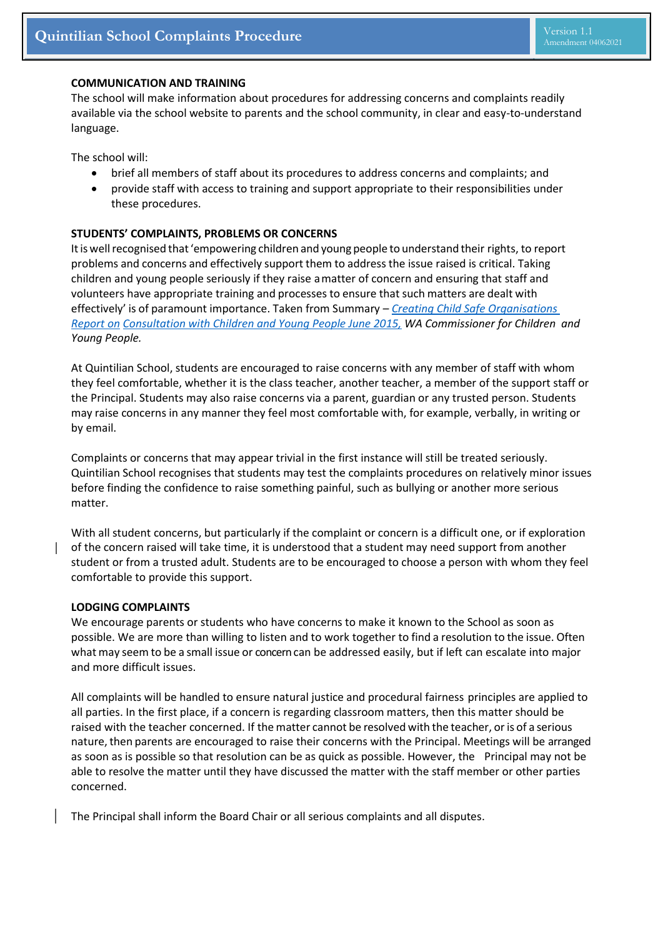#### **COMMUNICATION AND TRAINING**

The school will make information about procedures for addressing concerns and complaints readily available via the school website to parents and the school community, in clear and easy-to-understand language.

The school will:

- brief all members of staff about its procedures to address concerns and complaints; and
- provide staff with access to training and support appropriate to their responsibilities under these procedures.

## **STUDENTS' COMPLAINTS, PROBLEMS OR CONCERNS**

Itis wellrecognised that'empowering children and young people to understand their rights, to report problems and concerns and effectively support them to address the issue raised is critical. Taking children and young people seriously if they raise amatter of concern and ensuring that staff and volunteers have appropriate training and processes to ensure that such matters are dealt with effectively' is of paramount importance. Taken from Summary *– [Creating Child Safe Organisations](https://www.ccyp.wa.gov.au/media/1513/report-child-safe-creating-child-safe-organisations-consultation-with-children-and-young-people-june-2015.pdf)  [Report](https://www.ccyp.wa.gov.au/media/1513/report-child-safe-creating-child-safe-organisations-consultation-with-children-and-young-people-june-2015.pdf) on [Consultation with Children and Young People June 2015,](https://www.ccyp.wa.gov.au/media/1513/report-child-safe-creating-child-safe-organisations-consultation-with-children-and-young-people-june-2015.pdf) WA Commissioner for Children and Young People.*

At Quintilian School, students are encouraged to raise concerns with any member of staff with whom they feel comfortable, whether it is the class teacher, another teacher, a member of the support staff or the Principal. Students may also raise concerns via a parent, guardian or any trusted person. Students may raise concerns in any manner they feel most comfortable with, for example, verbally, in writing or by email.

Complaints or concerns that may appear trivial in the first instance will still be treated seriously. Quintilian School recognises that students may test the complaints procedures on relatively minor issues before finding the confidence to raise something painful, such as bullying or another more serious matter.

With all student concerns, but particularly if the complaint or concern is a difficult one, or if exploration of the concern raised will take time, it is understood that a student may need support from another student or from a trusted adult. Students are to be encouraged to choose a person with whom they feel comfortable to provide this support.

#### **LODGING COMPLAINTS**

We encourage parents or students who have concerns to make it known to the School as soon as possible. We are more than willing to listen and to work together to find a resolution to the issue. Often what may seem to be a small issue or concern can be addressed easily, but if left can escalate into major and more difficult issues.

All complaints will be handled to ensure natural justice and procedural fairness principles are applied to all parties. In the first place, if a concern is regarding classroom matters, then this matter should be raised with the teacher concerned. If the matter cannot be resolved with the teacher, oris of a serious nature, then parents are encouraged to raise their concerns with the Principal. Meetings will be arranged as soon as is possible so that resolution can be as quick as possible. However, the Principal may not be able to resolve the matter until they have discussed the matter with the staff member or other parties concerned.

The Principal shall inform the Board Chair or all serious complaints and all disputes.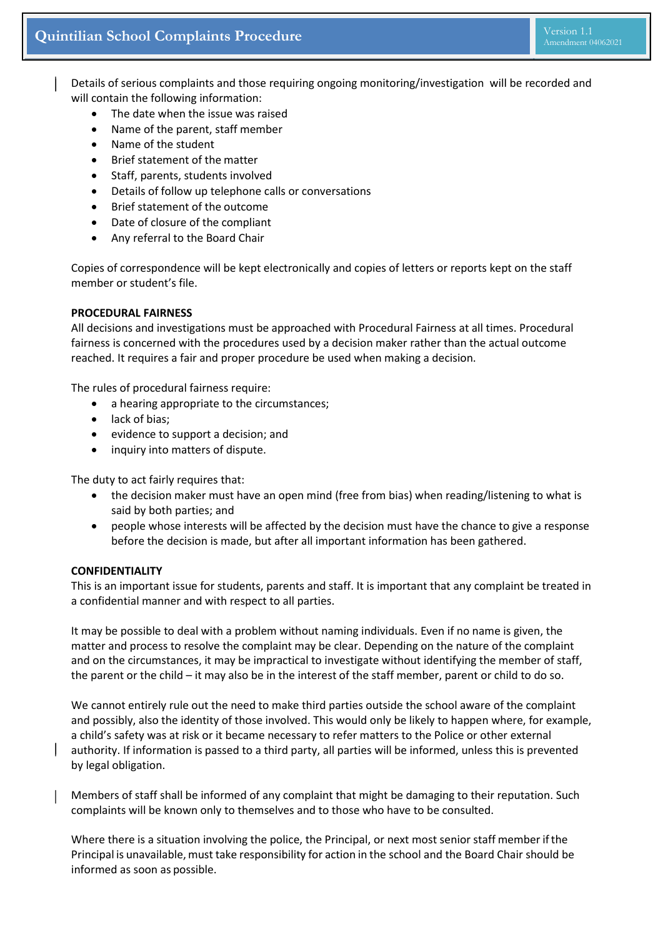Details of serious complaints and those requiring ongoing monitoring/investigation will be recorded and will contain the following information:

- The date when the issue was raised
- Name of the parent, staff member
- Name of the student
- Brief statement of the matter
- Staff, parents, students involved
- Details of follow up telephone calls or conversations
- Brief statement of the outcome
- Date of closure of the compliant
- Any referral to the Board Chair

Copies of correspondence will be kept electronically and copies of letters or reports kept on the staff member or student's file.

## **PROCEDURAL FAIRNESS**

All decisions and investigations must be approached with Procedural Fairness at all times. Procedural fairness is concerned with the procedures used by a decision maker rather than the actual outcome reached. It requires a fair and proper procedure be used when making a decision.

The rules of procedural fairness require:

- a hearing appropriate to the circumstances;
- lack of bias;
- evidence to support a decision; and
- inquiry into matters of dispute.

The duty to act fairly requires that:

- the decision maker must have an open mind (free from bias) when reading/listening to what is said by both parties; and
- people whose interests will be affected by the decision must have the chance to give a response before the decision is made, but after all important information has been gathered.

#### **CONFIDENTIALITY**

This is an important issue for students, parents and staff. It is important that any complaint be treated in a confidential manner and with respect to all parties.

It may be possible to deal with a problem without naming individuals. Even if no name is given, the matter and process to resolve the complaint may be clear. Depending on the nature of the complaint and on the circumstances, it may be impractical to investigate without identifying the member of staff, the parent or the child – it may also be in the interest of the staff member, parent or child to do so.

We cannot entirely rule out the need to make third parties outside the school aware of the complaint and possibly, also the identity of those involved. This would only be likely to happen where, for example, a child's safety was at risk or it became necessary to refer matters to the Police or other external authority. If information is passed to a third party, all parties will be informed, unless this is prevented by legal obligation.

Members of staff shall be informed of any complaint that might be damaging to their reputation. Such complaints will be known only to themselves and to those who have to be consulted.

Where there is a situation involving the police, the Principal, or next most senior staff member ifthe Principal is unavailable, must take responsibility for action in the school and the Board Chair should be informed as soon as possible.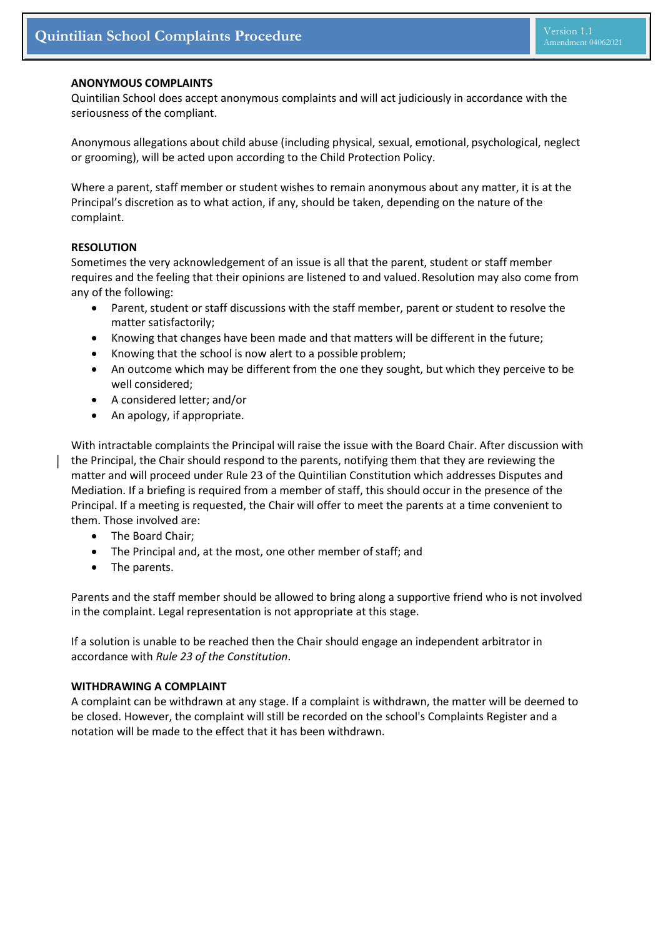#### **ANONYMOUS COMPLAINTS**

Quintilian School does accept anonymous complaints and will act judiciously in accordance with the seriousness of the compliant.

Anonymous allegations about child abuse (including physical, sexual, emotional, psychological, neglect or grooming), will be acted upon according to the Child Protection Policy.

Where a parent, staff member or student wishes to remain anonymous about any matter, it is at the Principal's discretion as to what action, if any, should be taken, depending on the nature of the complaint.

#### **RESOLUTION**

Sometimes the very acknowledgement of an issue is all that the parent, student or staff member requires and the feeling that their opinions are listened to and valued.Resolution may also come from any of the following:

- Parent, student or staff discussions with the staff member, parent or student to resolve the matter satisfactorily;
- Knowing that changes have been made and that matters will be different in the future;
- Knowing that the school is now alert to a possible problem;
- An outcome which may be different from the one they sought, but which they perceive to be well considered;
- A considered letter; and/or
- An apology, if appropriate.

With intractable complaints the Principal will raise the issue with the Board Chair. After discussion with the Principal, the Chair should respond to the parents, notifying them that they are reviewing the matter and will proceed under Rule 23 of the Quintilian Constitution which addresses Disputes and Mediation. If a briefing is required from a member of staff, this should occur in the presence of the Principal. If a meeting is requested, the Chair will offer to meet the parents at a time convenient to them. Those involved are:

- The Board Chair;
- The Principal and, at the most, one other member of staff; and
- The parents.

Parents and the staff member should be allowed to bring along a supportive friend who is not involved in the complaint. Legal representation is not appropriate at this stage.

If a solution is unable to be reached then the Chair should engage an independent arbitrator in accordance with *Rule 23 of the Constitution*.

## **WITHDRAWING A COMPLAINT**

A complaint can be withdrawn at any stage. If a complaint is withdrawn, the matter will be deemed to be closed. However, the complaint will still be recorded on the school's Complaints Register and a notation will be made to the effect that it has been withdrawn.